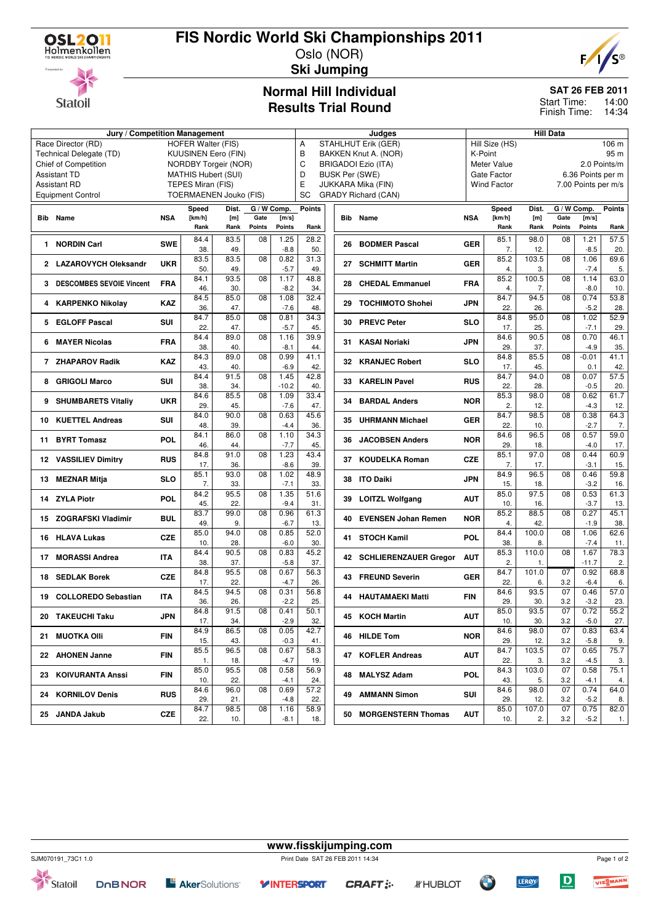

# **FIS Nordic World Ski Championships 2011**





#### Oslo (NOR) **Ski Jumping**

### **Normal Hill Individual Results Trial Round**

#### **SAT 26 FEB 2011**

14:00 Finish Time: 14:34 Start Time:

|                                                                                  | <b>Hill Data</b><br>Judges |                               |             |                 |                |                                 |                       |                              |            |                         |              |                     |                |               |  |
|----------------------------------------------------------------------------------|----------------------------|-------------------------------|-------------|-----------------|----------------|---------------------------------|-----------------------|------------------------------|------------|-------------------------|--------------|---------------------|----------------|---------------|--|
| Jury / Competition Management<br>Race Director (RD)<br><b>HOFER Walter (FIS)</b> |                            |                               |             |                 |                | Α<br><b>STAHLHUT Erik (GER)</b> |                       |                              |            | Hill Size (HS)<br>106 m |              |                     |                |               |  |
| Technical Delegate (TD)                                                          | <b>KUUSINEN Eero (FIN)</b> |                               |             |                 |                | B<br>BAKKEN Knut A. (NOR)       |                       |                              |            | K-Point                 |              |                     | 95 m           |               |  |
| Chief of Competition                                                             | NORDBY Torgeir (NOR)       |                               |             |                 |                | C                               |                       | <b>BRIGADOI Ezio (ITA)</b>   |            | Meter Value             |              |                     |                | 2.0 Points/m  |  |
| <b>Assistant TD</b>                                                              | <b>MATHIS Hubert (SUI)</b> |                               |             |                 |                | D                               | <b>BUSK Per (SWE)</b> |                              |            | Gate Factor             |              | 6.36 Points per m   |                |               |  |
| <b>Assistant RD</b>                                                              | TEPES Miran (FIS)          |                               |             |                 |                | E<br>JUKKARA Mika (FIN)         |                       |                              |            | <b>Wind Factor</b>      |              | 7.00 Points per m/s |                |               |  |
| <b>Equipment Control</b>                                                         |                            | <b>TOERMAENEN Jouko (FIS)</b> |             |                 |                | <b>SC</b>                       |                       | <b>GRADY Richard (CAN)</b>   |            |                         |              |                     |                |               |  |
|                                                                                  |                            | Speed                         | Dist.       |                 | G / W Comp.    | Points                          |                       |                              |            | Speed                   | Dist.        | G / W Comp.         |                | <b>Points</b> |  |
| <b>Bib</b> Name                                                                  | <b>NSA</b>                 | [km/h]<br>[m]                 |             | Gate            | [m/s]          | <b>Bib</b>                      | Name                  | <b>NSA</b>                   | [km/h]     | [m]                     | Gate         | [m/s]               |                |               |  |
|                                                                                  |                            | Rank                          | Rank        | Points          | <b>Points</b>  | Rank                            |                       |                              |            | Rank                    | Rank         | <b>Points</b>       | <b>Points</b>  | Rank          |  |
|                                                                                  |                            | 84.4                          | 83.5        | 08              | 1.25           | 28.2                            |                       |                              |            | 85.1                    | 98.0         | 08                  | 1.21           | 57.5          |  |
| 1 NORDIN Carl                                                                    | <b>SWE</b>                 | 38.                           | 49.         |                 | $-8.8$         | 50.                             |                       | 26 BODMER Pascal             | <b>GER</b> | 7.                      | 12.          |                     | $-8.5$         | 20.           |  |
|                                                                                  |                            | 83.5                          | 83.5        | 08              | 0.82           | 31.3                            |                       |                              |            | 85.2                    | 103.5        | 08                  | 1.06           | 69.6          |  |
| 2 LAZAROVYCH Oleksandr                                                           | <b>UKR</b>                 | 50.                           | 49.         |                 | $-5.7$         | 49.                             |                       | 27 SCHMITT Martin            | <b>GER</b> | 4.                      | 3.           |                     | $-7.4$         | 5.            |  |
|                                                                                  |                            | 84.1                          | 93.5        | 08              | 1.17           | 48.8                            |                       |                              |            | 85.2                    | 100.5        | 08                  | 1.14           | 63.0          |  |
| <b>DESCOMBES SEVOIE Vincent</b><br>3.                                            | <b>FRA</b>                 | 46.                           | 30.         |                 | $-8.2$         | 34.                             |                       | 28 CHEDAL Emmanuel           | <b>FRA</b> | 4.                      | 7.           |                     | $-8.0$         | 10.           |  |
|                                                                                  | <b>KAZ</b>                 | 84.5                          | 85.0        | 08              | 1.08           | 32.4                            |                       | 29 TOCHIMOTO Shohei          | <b>JPN</b> | 84.7                    | 94.5         | 08                  | 0.74           | 53.8          |  |
| <b>KARPENKO Nikolay</b><br>4                                                     |                            | 36.                           | 47.         |                 | $-7.6$         | 48.                             |                       |                              |            | 22.                     | 26.          |                     | $-5.2$         | 28.           |  |
| 5 EGLOFF Pascal                                                                  | <b>SUI</b>                 | 84.7                          | 85.0        | 08              | 0.81           | 34.3                            |                       | 30 PREVC Peter               | <b>SLO</b> | 84.8                    | 95.0         | 08                  | 1.02           | 52.9          |  |
|                                                                                  |                            | 22.                           | 47.         |                 | $-5.7$         | 45.                             |                       |                              |            | 17.                     | 25.          |                     | $-7.1$         | 29.           |  |
| <b>MAYER Nicolas</b><br>6                                                        | <b>FRA</b>                 | 84.4                          | 89.0        | 08              | 1.16           | 39.9                            |                       | 31 KASAI Noriaki             | <b>JPN</b> | 84.6                    | 90.5         | 08                  | 0.70           | 46.1          |  |
|                                                                                  |                            | 38.                           | 40.         |                 | $-8.1$         | 44.                             |                       |                              |            | 29.                     | 37.          |                     | $-4.9$         | 35.           |  |
| 7 ZHAPAROV Radik                                                                 | <b>KAZ</b>                 | 84.3                          | 89.0        | 08              | 0.99           | 41.1                            |                       | 32 KRANJEC Robert            | <b>SLO</b> | 84.8                    | 85.5         | 08                  | $-0.01$        | 41.1          |  |
|                                                                                  |                            | 43.<br>84.4                   | 40.<br>91.5 | 08              | $-6.9$<br>1.45 | 42.<br>42.8                     |                       |                              |            | 17.<br>84.7             | 45.<br>94.0  | 08                  | 0.1<br>0.07    | 42.<br>57.5   |  |
| <b>GRIGOLI Marco</b><br>8                                                        | <b>SUI</b>                 | 38.                           | 34.         |                 | $-10.2$        | 40.                             | 33                    | <b>KARELIN Pavel</b>         | <b>RUS</b> | 22.                     | 28.          |                     | $-0.5$         | 20.           |  |
|                                                                                  |                            | 84.6                          | 85.5        | $\overline{08}$ | 1.09           | 33.4                            |                       |                              |            | 85.3                    | 98.0         | 08                  | 0.62           | 61.7          |  |
| 9 SHUMBARETS Vitaliy                                                             | <b>UKR</b>                 | 29.                           | 45.         |                 | $-7.6$         | 47.                             | 34                    | <b>BARDAL Anders</b>         | <b>NOR</b> | 2.                      | 12.          |                     | $-4.3$         | 12.           |  |
|                                                                                  |                            | 84.0                          | 90.0        | 08              | 0.63           | 45.6                            |                       |                              |            | 84.7                    | 98.5         | 08                  | 0.38           | 64.3          |  |
| <b>KUETTEL Andreas</b><br>10.                                                    | <b>SUI</b>                 | 48.                           | 39.         |                 | $-4.4$         | 36.                             | 35                    | <b>UHRMANN Michael</b>       | <b>GER</b> | 22.                     | 10.          |                     | $-2.7$         | 7.            |  |
|                                                                                  |                            | 84.1                          | 86.0        | 08              | 1.10           | 34.3                            |                       |                              |            | 84.6                    | 96.5         | 08                  | 0.57           | 59.0          |  |
| <b>BYRT Tomasz</b><br>11                                                         | <b>POL</b>                 | 46.                           | 44.         |                 | $-7.7$         | 45.                             | 36                    | <b>JACOBSEN Anders</b>       | <b>NOR</b> | 29.                     | 18.          |                     | $-4.0$         | 17.           |  |
| 12 VASSILIEV Dimitry                                                             | <b>RUS</b>                 | 84.8                          | 91.0        | 08              | 1.23           | 43.4                            | 37                    | <b>KOUDELKA Roman</b>        | <b>CZE</b> | 85.1                    | 97.0         | 08                  | 0.44           | 60.9          |  |
|                                                                                  |                            | 17.                           | 36.         |                 | $-8.6$         | 39.                             |                       |                              |            | 7.                      | 17.          |                     | $-3.1$         | 15.           |  |
| <b>MEZNAR Mitja</b><br>13                                                        | <b>SLO</b>                 | 85.1                          | 93.0        | 08              | 1.02           | 48.9                            |                       | 38 ITO Daiki                 | <b>JPN</b> | 84.9                    | 96.5         | 08                  | 0.46           | 59.8          |  |
|                                                                                  |                            | 7.                            | 33.         |                 | $-7.1$         | 33.                             |                       |                              |            | 15.                     | 18.          |                     | $-3.2$         | 16.           |  |
| <b>ZYLA Piotr</b><br>14                                                          | POL                        | 84.2                          | 95.5        | 08              | 1.35           | 51.6                            | 39                    | <b>LOITZL Wolfgang</b>       | <b>AUT</b> | 85.0                    | 97.5         | 08                  | 0.53           | 61.3          |  |
|                                                                                  |                            | 45.<br>83.7                   | 22.<br>99.0 | 08              | $-9.4$<br>0.96 | 31.<br>61.3                     |                       |                              |            | 10.<br>85.2             | 16.<br>88.5  | 08                  | $-3.7$<br>0.27 | 13.<br>45.1   |  |
| <b>ZOGRAFSKI Vladimir</b><br>15                                                  | <b>BUL</b>                 | 49.                           | 9.          |                 | $-6.7$         | 13.                             | 40                    | <b>EVENSEN Johan Remen</b>   | <b>NOR</b> | 4.                      | 42.          |                     | $-1.9$         | 38.           |  |
|                                                                                  |                            | 85.0                          | 94.0        | 08              | 0.85           | 52.0                            |                       |                              |            | 84.4                    | 100.0        | 08                  | 1.06           | 62.6          |  |
| <b>HLAVA Lukas</b><br>16                                                         | <b>CZE</b>                 | 10.                           | 28.         |                 | $-6.0$         | 30.                             | 41                    | <b>STOCH Kamil</b>           | <b>POL</b> | 38.                     | 8.           |                     | $-7.4$         | 11.           |  |
|                                                                                  |                            | 84.4                          | 90.5        | 08              | 0.83           | 45.2                            |                       |                              |            | 85.3                    | 110.0        | 08                  | 1.67           | 78.3          |  |
| <b>MORASSI Andrea</b><br>17                                                      | <b>ITA</b>                 | 38.                           | 37.         |                 | $-5.8$         | 37.                             | 42                    | <b>SCHLIERENZAUER Gregor</b> | <b>AUT</b> | 2.                      | 1.           |                     | $-11.7$        | 2.            |  |
|                                                                                  | <b>CZE</b>                 | 84.8                          | 95.5        | 08              | 0.67           | 56.3                            |                       |                              | <b>GER</b> | 84.7                    | 101.0        | 07                  | 0.92           | 68.8          |  |
| <b>SEDLAK Borek</b><br>18                                                        |                            | 17.                           | 22.         |                 | $-4.7$         | 26.                             | 43                    | <b>FREUND Severin</b>        |            | 22.                     | 6.           | 3.2                 | $-6.4$         | 6.            |  |
| 19 COLLOREDO Sebastian                                                           | <b>ITA</b>                 | 84.5                          | 94.5        | 08              | 0.31           | 56.8                            |                       | 44 HAUTAMAEKI Matti          | <b>FIN</b> | 84.6                    | 93.5         | 07                  | 0.46           | 57.0          |  |
|                                                                                  |                            | 36.                           | 26.         |                 | $-2.2$         | 25.                             |                       |                              |            | 29.                     | 30.          | 3.2                 | $-3.2$         | 23.           |  |
| 20 TAKEUCHI Taku                                                                 | JPN                        | 84.8                          | 91.5        | 08              | 0.41           | 50.1                            |                       | 45 KOCH Martin               | <b>AUT</b> | 85.0                    | 93.5         | 07                  | 0.72           | 55.2          |  |
|                                                                                  |                            | 17.                           | 34.         |                 | $-2.9$         | 32.                             |                       |                              |            | 10.                     | 30.          | 3.2                 | $-5.0$         | 27.           |  |
| 21 MUOTKA OIII                                                                   | <b>FIN</b>                 | 84.9                          | 86.5        | 08              | 0.05           | 42.7                            |                       | 46 HILDE Tom                 | <b>NOR</b> | 84.6                    | 98.0         | 07                  | 0.83           | 63.4          |  |
|                                                                                  |                            | 15.                           | 43.         |                 | $-0.3$         | 41.                             |                       |                              |            | 29.                     | 12.<br>103.5 | 3.2<br>07           | $-5.8$         | 9.            |  |
| 22 AHONEN Janne                                                                  | FIN                        | 85.5<br>1.                    | 96.5<br>18. | 08              | 0.67<br>-4.7   | 58.3<br>19.                     |                       | 47 KOFLER Andreas            | <b>AUT</b> | 84.7<br>22.             | 3.           | 3.2                 | 0.65<br>$-4.5$ | 75.7<br>3.    |  |
|                                                                                  |                            | 85.0                          | 95.5        | 08              | 0.58           | 56.9                            |                       |                              |            | 84.3                    | 103.0        | 07                  | 0.58           | 75.1          |  |
| 23 KOIVURANTA Anssi                                                              | <b>FIN</b>                 | 10.                           | 22.         |                 | $-4.1$         | 24.                             | 48                    | <b>MALYSZ Adam</b>           | <b>POL</b> | 43.                     | 5.           | 3.2                 | $-4.1$         | 4.            |  |
|                                                                                  |                            | 84.6                          | 96.0        | 08              | 0.69           | 57.2                            |                       |                              |            | 84.6                    | 98.0         | 07                  | 0.74           | 64.0          |  |
| 24 KORNILOV Denis                                                                | RUS                        | 29.                           | 21.         |                 | $-4.8$         | 22.                             |                       | 49 AMMANN Simon              | SUI        | 29.                     | 12.          | 3.2                 | $-5.2$         | 8.            |  |
|                                                                                  |                            | 84.7                          | 98.5        | 08              | 1.16           | 58.9                            |                       |                              |            | 85.0                    | 107.0        | 07                  | 0.75           | 82.0          |  |
| 25 JANDA Jakub                                                                   | CZE                        | 22.                           | 10.         |                 | -8.1           | 18.                             |                       | 50 MORGENSTERN Thomas        | <b>AUT</b> | 10.                     | 2.           | 3.2                 | $-5.2$         | 1.            |  |
|                                                                                  |                            |                               |             |                 |                |                                 |                       |                              |            |                         |              |                     |                |               |  |

Statoil

**www.fisskijumping.com** SJM070191\_73C1 1.0 Print Date SAT 26 FEB 2011 14:34

> **Y INTERSPORT CRAFT:**



 $\boxed{\mathbf{D}}$ 

**LEROY** 

**OF**